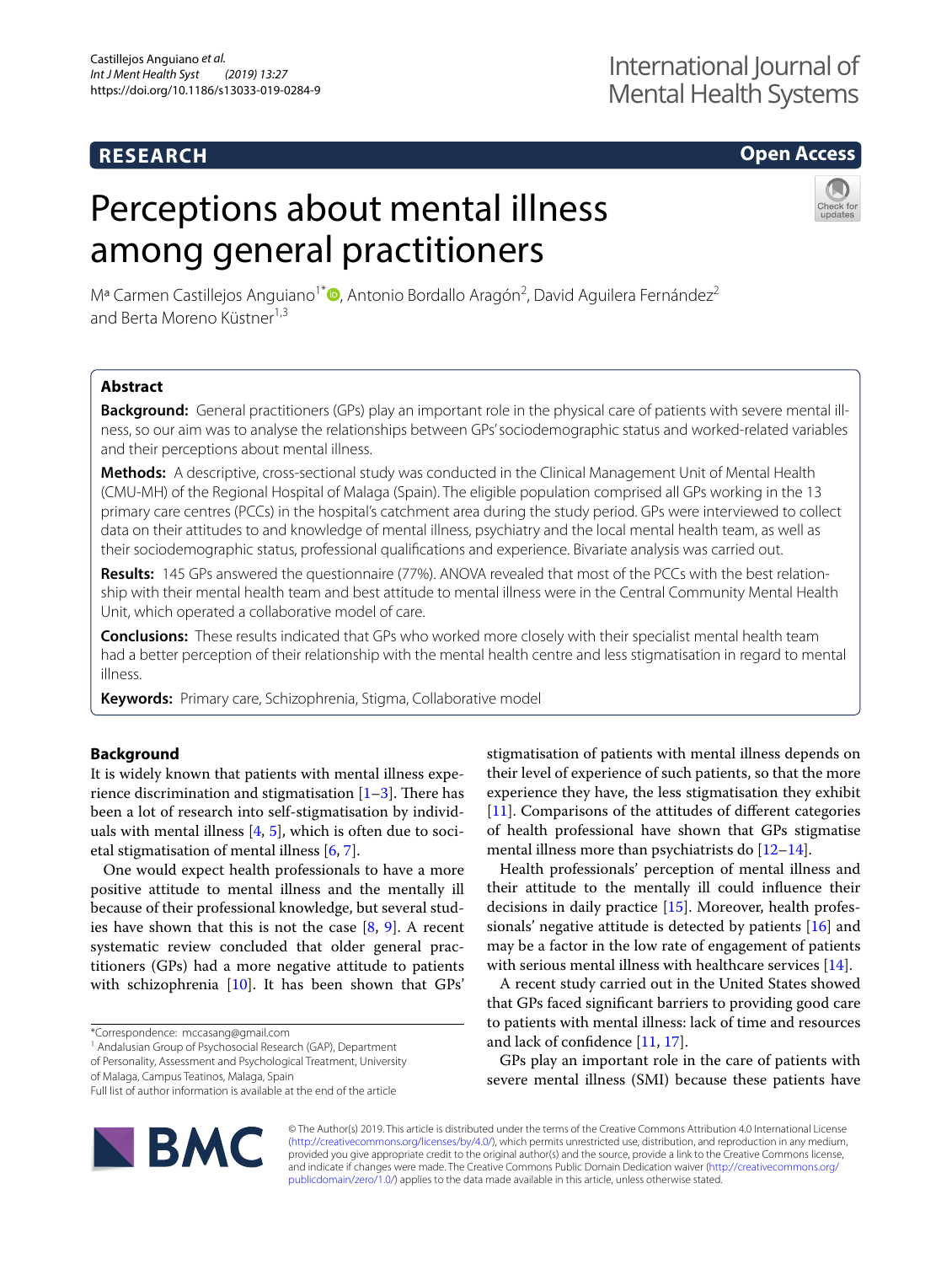## **RESEARCH**

## **Open Access**

# Perceptions about mental illness among general practitioners



Mª Carmen Castillejos Anguiano<sup>1\*</sup> <sup>D</sup>[,](http://orcid.org/0000-0001-7943-6584) Antonio Bordallo Aragón<sup>2</sup>, David Aguilera Fernández<sup>2</sup> and Berta Moreno Küstner<sup>1,3</sup>

## **Abstract**

**Background:** General practitioners (GPs) play an important role in the physical care of patients with severe mental illness, so our aim was to analyse the relationships between GPs' sociodemographic status and worked-related variables and their perceptions about mental illness.

**Methods:** A descriptive, cross-sectional study was conducted in the Clinical Management Unit of Mental Health (CMU-MH) of the Regional Hospital of Malaga (Spain). The eligible population comprised all GPs working in the 13 primary care centres (PCCs) in the hospital's catchment area during the study period. GPs were interviewed to collect data on their attitudes to and knowledge of mental illness, psychiatry and the local mental health team, as well as their sociodemographic status, professional qualifcations and experience. Bivariate analysis was carried out.

**Results:** 145 GPs answered the questionnaire (77%). ANOVA revealed that most of the PCCs with the best relationship with their mental health team and best attitude to mental illness were in the Central Community Mental Health Unit, which operated a collaborative model of care.

**Conclusions:** These results indicated that GPs who worked more closely with their specialist mental health team had a better perception of their relationship with the mental health centre and less stigmatisation in regard to mental illness.

**Keywords:** Primary care, Schizophrenia, Stigma, Collaborative model

## **Background**

It is widely known that patients with mental illness experience discrimination and stigmatisation  $[1-3]$  $[1-3]$ . There has been a lot of research into self-stigmatisation by individuals with mental illness  $[4, 5]$  $[4, 5]$  $[4, 5]$  $[4, 5]$ , which is often due to societal stigmatisation of mental illness [[6,](#page-4-4) [7](#page-4-5)].

One would expect health professionals to have a more positive attitude to mental illness and the mentally ill because of their professional knowledge, but several studies have shown that this is not the case [[8,](#page-4-6) [9](#page-4-7)]. A recent systematic review concluded that older general practitioners (GPs) had a more negative attitude to patients with schizophrenia [\[10\]](#page-4-8). It has been shown that GPs'

of Personality, Assessment and Psychological Treatment, University

of Malaga, Campus Teatinos, Malaga, Spain

Full list of author information is available at the end of the article



stigmatisation of patients with mental illness depends on their level of experience of such patients, so that the more experience they have, the less stigmatisation they exhibit [[11\]](#page-4-9). Comparisons of the attitudes of different categories of health professional have shown that GPs stigmatise mental illness more than psychiatrists do  $[12-14]$  $[12-14]$  $[12-14]$ .

Health professionals' perception of mental illness and their attitude to the mentally ill could infuence their decisions in daily practice [[15\]](#page-4-12). Moreover, health professionals' negative attitude is detected by patients [\[16](#page-4-13)] and may be a factor in the low rate of engagement of patients with serious mental illness with healthcare services [\[14](#page-4-11)].

A recent study carried out in the United States showed that GPs faced signifcant barriers to providing good care to patients with mental illness: lack of time and resources and lack of confdence [\[11,](#page-4-9) [17](#page-4-14)].

GPs play an important role in the care of patients with severe mental illness (SMI) because these patients have

© The Author(s) 2019. This article is distributed under the terms of the Creative Commons Attribution 4.0 International License [\(http://creativecommons.org/licenses/by/4.0/\)](http://creativecommons.org/licenses/by/4.0/), which permits unrestricted use, distribution, and reproduction in any medium, provided you give appropriate credit to the original author(s) and the source, provide a link to the Creative Commons license, and indicate if changes were made. The Creative Commons Public Domain Dedication waiver ([http://creativecommons.org/](http://creativecommons.org/publicdomain/zero/1.0/) [publicdomain/zero/1.0/](http://creativecommons.org/publicdomain/zero/1.0/)) applies to the data made available in this article, unless otherwise stated.

<sup>\*</sup>Correspondence: mccasang@gmail.com

<sup>&</sup>lt;sup>1</sup> Andalusian Group of Psychosocial Research (GAP), Department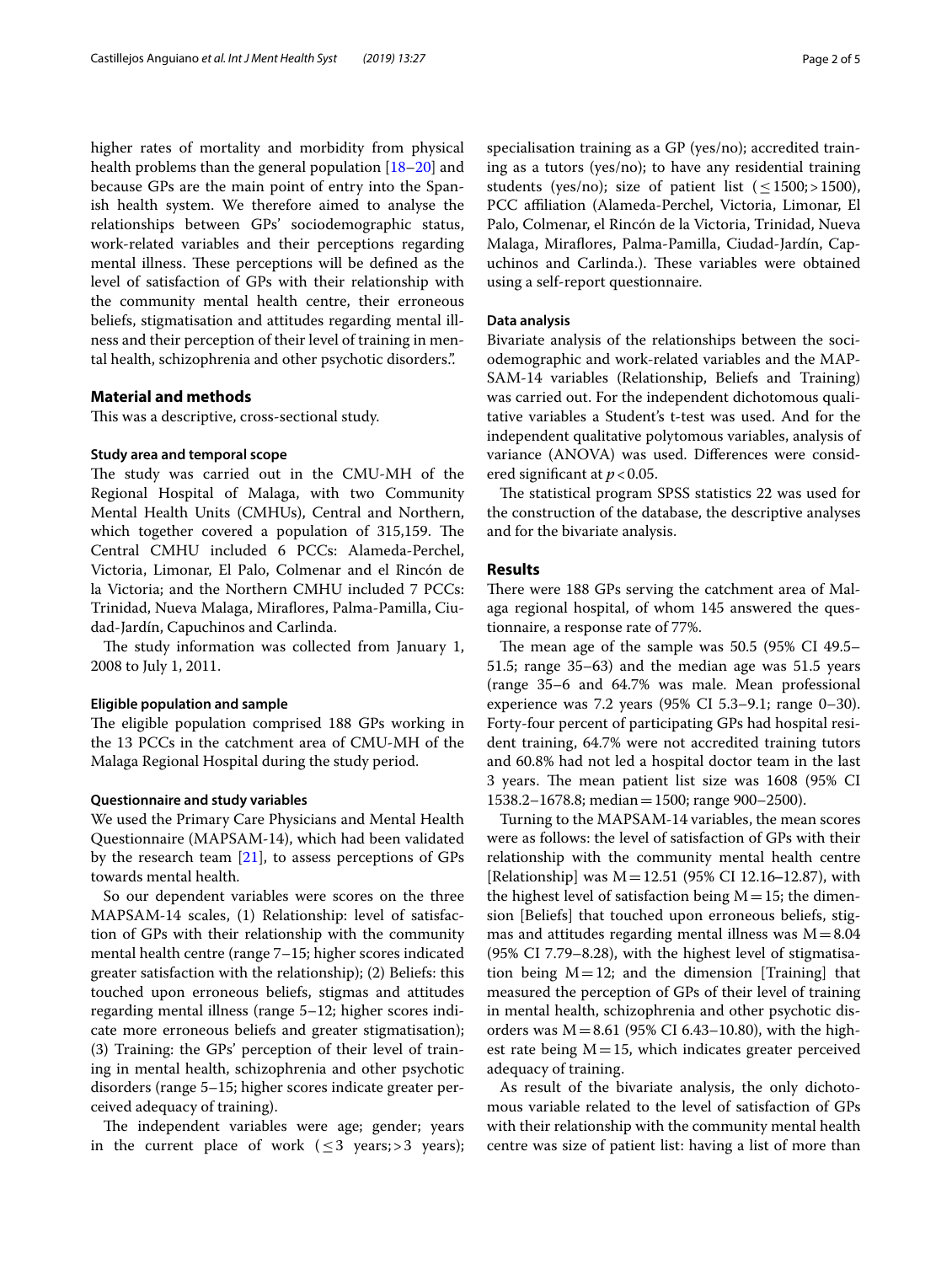higher rates of mortality and morbidity from physical health problems than the general population [\[18–](#page-4-15)[20\]](#page-4-16) and because GPs are the main point of entry into the Spanish health system. We therefore aimed to analyse the relationships between GPs' sociodemographic status, work-related variables and their perceptions regarding mental illness. These perceptions will be defined as the level of satisfaction of GPs with their relationship with the community mental health centre, their erroneous beliefs, stigmatisation and attitudes regarding mental illness and their perception of their level of training in mental health, schizophrenia and other psychotic disorders.".

## **Material and methods**

This was a descriptive, cross-sectional study.

## **Study area and temporal scope**

The study was carried out in the CMU-MH of the Regional Hospital of Malaga, with two Community Mental Health Units (CMHUs), Central and Northern, which together covered a population of 315,159. The Central CMHU included 6 PCCs: Alameda-Perchel, Victoria, Limonar, El Palo, Colmenar and el Rincón de la Victoria; and the Northern CMHU included 7 PCCs: Trinidad, Nueva Malaga, Mirafores, Palma-Pamilla, Ciudad-Jardín, Capuchinos and Carlinda.

The study information was collected from January 1, 2008 to July 1, 2011.

## **Eligible population and sample**

The eligible population comprised 188 GPs working in the 13 PCCs in the catchment area of CMU-MH of the Malaga Regional Hospital during the study period.

### **Questionnaire and study variables**

We used the Primary Care Physicians and Mental Health Questionnaire (MAPSAM-14), which had been validated by the research team [[21\]](#page-4-17), to assess perceptions of GPs towards mental health.

So our dependent variables were scores on the three MAPSAM-14 scales, (1) Relationship: level of satisfaction of GPs with their relationship with the community mental health centre (range 7–15; higher scores indicated greater satisfaction with the relationship); (2) Beliefs: this touched upon erroneous beliefs, stigmas and attitudes regarding mental illness (range 5–12; higher scores indicate more erroneous beliefs and greater stigmatisation); (3) Training: the GPs' perception of their level of training in mental health, schizophrenia and other psychotic disorders (range 5–15; higher scores indicate greater perceived adequacy of training).

The independent variables were age; gender; years in the current place of work ( $\leq$ 3 years;>3 years);

specialisation training as a GP (yes/no); accredited training as a tutors (yes/no); to have any residential training students (yes/no); size of patient list ( $\leq$ 1500;>1500), PCC afliation (Alameda-Perchel, Victoria, Limonar, El Palo, Colmenar, el Rincón de la Victoria, Trinidad, Nueva Malaga, Mirafores, Palma-Pamilla, Ciudad-Jardín, Capuchinos and Carlinda.). These variables were obtained using a self-report questionnaire.

## **Data analysis**

Bivariate analysis of the relationships between the sociodemographic and work-related variables and the MAP-SAM-14 variables (Relationship, Beliefs and Training) was carried out. For the independent dichotomous qualitative variables a Student's t-test was used. And for the independent qualitative polytomous variables, analysis of variance (ANOVA) was used. Diferences were considered signifcant at *p*<0.05.

The statistical program SPSS statistics 22 was used for the construction of the database, the descriptive analyses and for the bivariate analysis.

#### **Results**

There were 188 GPs serving the catchment area of Malaga regional hospital, of whom 145 answered the questionnaire, a response rate of 77%.

The mean age of the sample was  $50.5$  (95% CI 49.5– 51.5; range 35–63) and the median age was 51.5 years (range 35–6 and 64.7% was male. Mean professional experience was 7.2 years (95% CI 5.3–9.1; range 0–30). Forty-four percent of participating GPs had hospital resident training, 64.7% were not accredited training tutors and 60.8% had not led a hospital doctor team in the last 3 years. The mean patient list size was 1608 (95% CI 1538.2–1678.8; median=1500; range 900–2500).

Turning to the MAPSAM-14 variables, the mean scores were as follows: the level of satisfaction of GPs with their relationship with the community mental health centre [Relationship] was  $M=12.51$  (95% CI 12.16–12.87), with the highest level of satisfaction being  $M=15$ ; the dimension [Beliefs] that touched upon erroneous beliefs, stigmas and attitudes regarding mental illness was  $M=8.04$ (95% CI 7.79–8.28), with the highest level of stigmatisation being  $M=12$ ; and the dimension [Training] that measured the perception of GPs of their level of training in mental health, schizophrenia and other psychotic disorders was  $M = 8.61$  (95% CI 6.43–10.80), with the highest rate being  $M=15$ , which indicates greater perceived adequacy of training.

As result of the bivariate analysis, the only dichotomous variable related to the level of satisfaction of GPs with their relationship with the community mental health centre was size of patient list: having a list of more than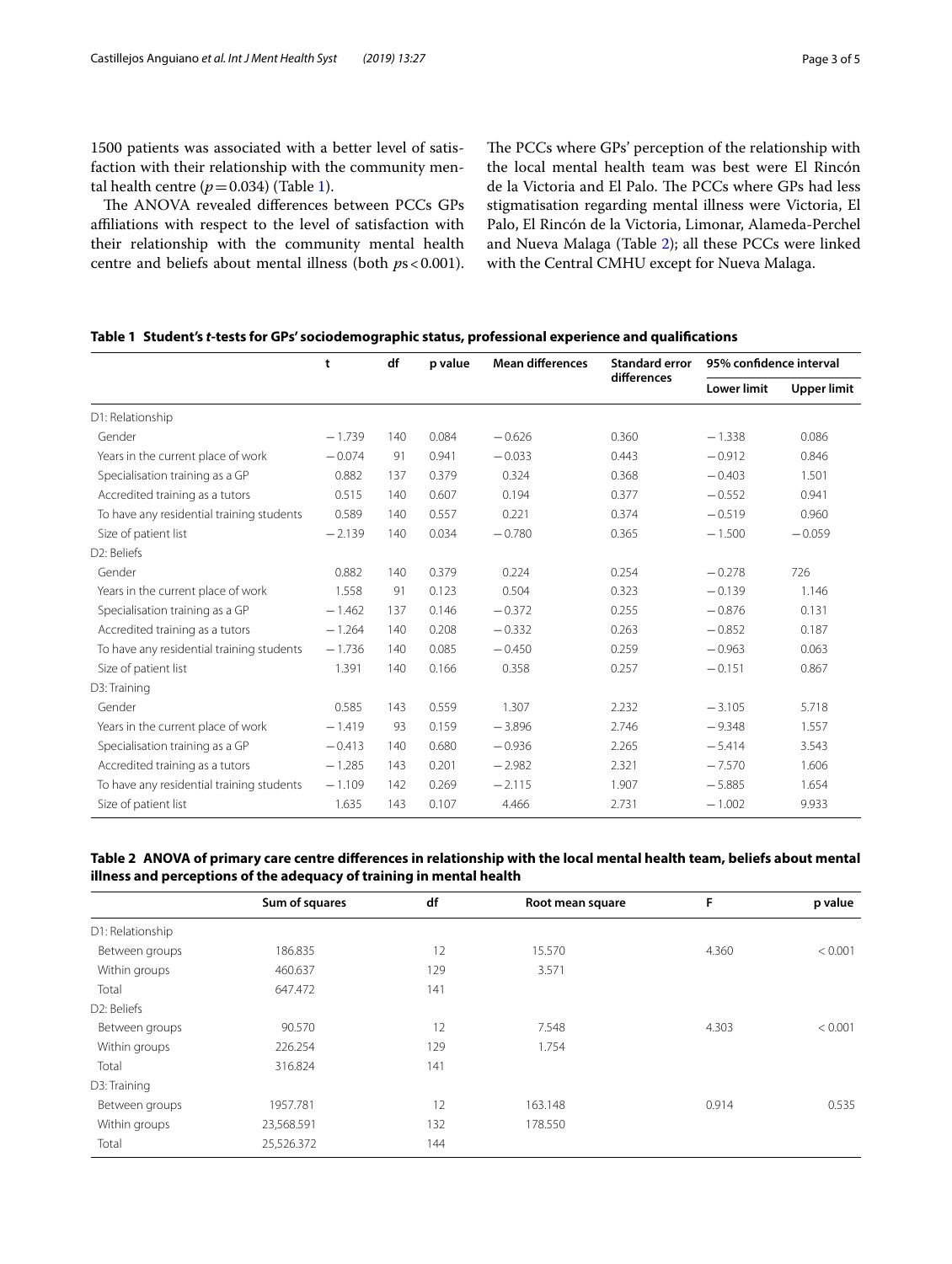1500 patients was associated with a better level of satisfaction with their relationship with the community mental health centre  $(p=0.034)$  (Table [1\)](#page-2-0).

The ANOVA revealed differences between PCCs GPs affiliations with respect to the level of satisfaction with their relationship with the community mental health centre and beliefs about mental illness (both  $ps < 0.001$ ). The PCCs where GPs' perception of the relationship with the local mental health team was best were El Rincón de la Victoria and El Palo. The PCCs where GPs had less stigmatisation regarding mental illness were Victoria, El Palo, El Rincón de la Victoria, Limonar, Alameda-Perchel and Nueva Malaga (Table [2\)](#page-2-1); all these PCCs were linked with the Central CMHU except for Nueva Malaga.

<span id="page-2-0"></span>

|  | Table 1 Student's t-tests for GPs' sociodemographic status, professional experience and qualifications |  |  |
|--|--------------------------------------------------------------------------------------------------------|--|--|
|  |                                                                                                        |  |  |

|                                           | t        | df  | p value | <b>Mean differences</b> | <b>Standard error</b><br>differences | 95% confidence interval |                    |
|-------------------------------------------|----------|-----|---------|-------------------------|--------------------------------------|-------------------------|--------------------|
|                                           |          |     |         |                         |                                      | <b>Lower limit</b>      | <b>Upper limit</b> |
| D1: Relationship                          |          |     |         |                         |                                      |                         |                    |
| Gender                                    | $-1.739$ | 140 | 0.084   | $-0.626$                | 0.360                                | $-1.338$                | 0.086              |
| Years in the current place of work        | $-0.074$ | 91  | 0.941   | $-0.033$                | 0.443                                | $-0.912$                | 0.846              |
| Specialisation training as a GP           | 0.882    | 137 | 0.379   | 0.324                   | 0.368                                | $-0.403$                | 1.501              |
| Accredited training as a tutors           | 0.515    | 140 | 0.607   | 0.194                   | 0.377                                | $-0.552$                | 0.941              |
| To have any residential training students | 0.589    | 140 | 0.557   | 0.221                   | 0.374                                | $-0.519$                | 0.960              |
| Size of patient list                      | $-2.139$ | 140 | 0.034   | $-0.780$                | 0.365                                | $-1.500$                | $-0.059$           |
| D2: Beliefs                               |          |     |         |                         |                                      |                         |                    |
| Gender                                    | 0.882    | 140 | 0.379   | 0.224                   | 0.254                                | $-0.278$                | 726                |
| Years in the current place of work        | 1.558    | 91  | 0.123   | 0.504                   | 0.323                                | $-0.139$                | 1.146              |
| Specialisation training as a GP           | $-1.462$ | 137 | 0.146   | $-0.372$                | 0.255                                | $-0.876$                | 0.131              |
| Accredited training as a tutors           | $-1.264$ | 140 | 0.208   | $-0.332$                | 0.263                                | $-0.852$                | 0.187              |
| To have any residential training students | $-1.736$ | 140 | 0.085   | $-0.450$                | 0.259                                | $-0.963$                | 0.063              |
| Size of patient list                      | 1.391    | 140 | 0.166   | 0.358                   | 0.257                                | $-0.151$                | 0.867              |
| D3: Training                              |          |     |         |                         |                                      |                         |                    |
| Gender                                    | 0.585    | 143 | 0.559   | 1.307                   | 2.232                                | $-3.105$                | 5.718              |
| Years in the current place of work        | $-1.419$ | 93  | 0.159   | $-3.896$                | 2.746                                | $-9.348$                | 1.557              |
| Specialisation training as a GP           | $-0.413$ | 140 | 0.680   | $-0.936$                | 2.265                                | $-5.414$                | 3.543              |
| Accredited training as a tutors           | $-1.285$ | 143 | 0.201   | $-2.982$                | 2.321                                | $-7.570$                | 1.606              |
| To have any residential training students | $-1.109$ | 142 | 0.269   | $-2.115$                | 1.907                                | $-5.885$                | 1.654              |
| Size of patient list                      | 1.635    | 143 | 0.107   | 4.466                   | 2.731                                | $-1.002$                | 9.933              |

<span id="page-2-1"></span>**Table 2 ANOVA of primary care centre diferences in relationship with the local mental health team, beliefs about mental illness and perceptions of the adequacy of training in mental health**

|                          | Sum of squares | df  | Root mean square | F     | p value |
|--------------------------|----------------|-----|------------------|-------|---------|
| D1: Relationship         |                |     |                  |       |         |
| Between groups           | 186.835        | 12  | 15.570           | 4.360 | < 0.001 |
| Within groups            | 460.637        | 129 | 3.571            |       |         |
| Total                    | 647.472        | 141 |                  |       |         |
| D <sub>2</sub> : Beliefs |                |     |                  |       |         |
| Between groups           | 90.570         | 12  | 7.548            | 4.303 | < 0.001 |
| Within groups            | 226.254        | 129 | 1.754            |       |         |
| Total                    | 316.824        | 141 |                  |       |         |
| D3: Training             |                |     |                  |       |         |
| Between groups           | 1957.781       | 12  | 163.148          | 0.914 | 0.535   |
| Within groups            | 23,568.591     | 132 | 178.550          |       |         |
| Total                    | 25,526.372     | 144 |                  |       |         |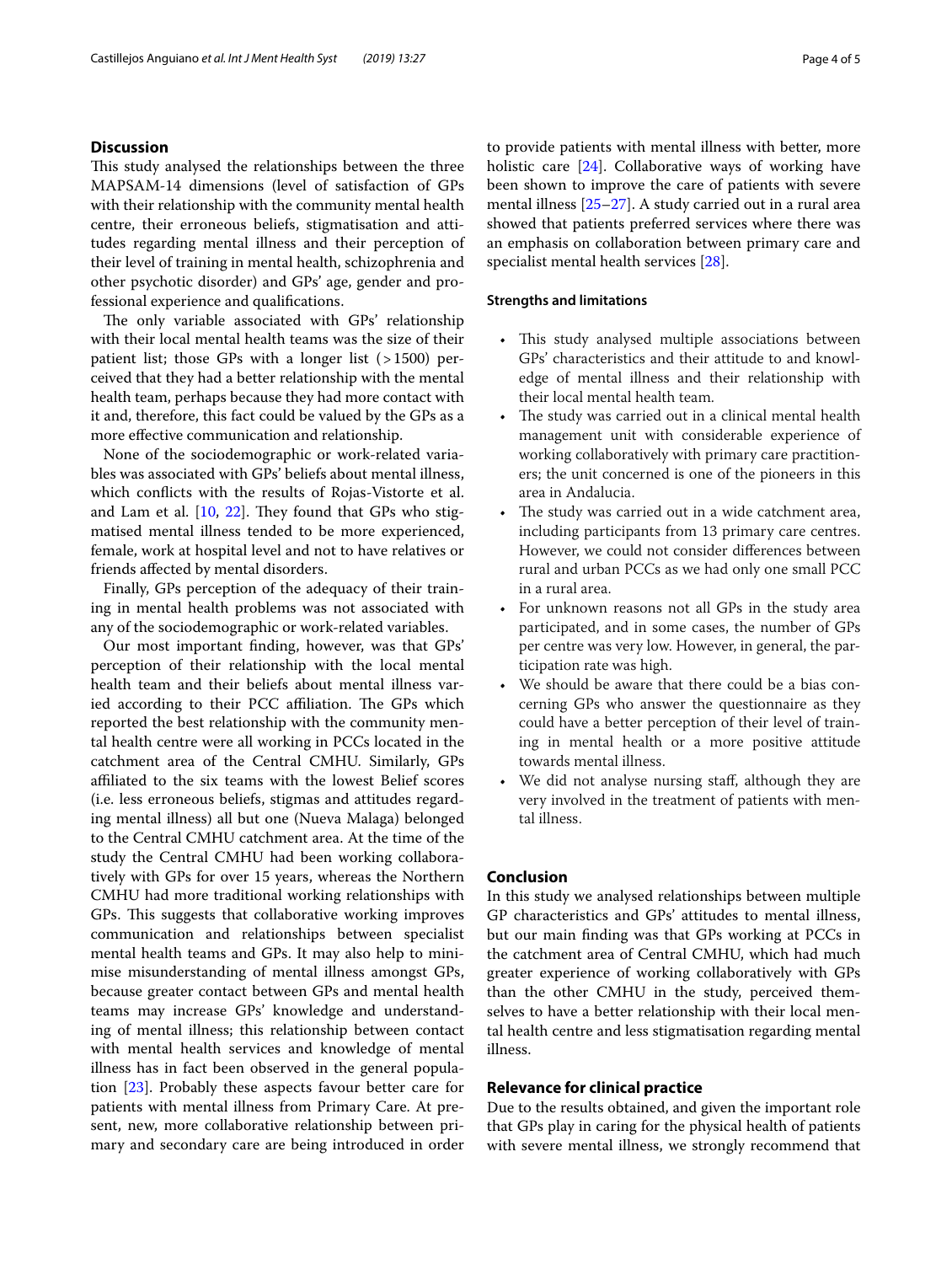## **Discussion**

This study analysed the relationships between the three MAPSAM-14 dimensions (level of satisfaction of GPs with their relationship with the community mental health centre, their erroneous beliefs, stigmatisation and attitudes regarding mental illness and their perception of their level of training in mental health, schizophrenia and other psychotic disorder) and GPs' age, gender and professional experience and qualifcations.

The only variable associated with GPs' relationship with their local mental health teams was the size of their patient list; those GPs with a longer list (>1500) perceived that they had a better relationship with the mental health team, perhaps because they had more contact with it and, therefore, this fact could be valued by the GPs as a more efective communication and relationship.

None of the sociodemographic or work-related variables was associated with GPs' beliefs about mental illness, which conficts with the results of Rojas-Vistorte et al. and Lam et al.  $[10, 22]$  $[10, 22]$  $[10, 22]$ . They found that GPs who stigmatised mental illness tended to be more experienced, female, work at hospital level and not to have relatives or friends afected by mental disorders.

Finally, GPs perception of the adequacy of their training in mental health problems was not associated with any of the sociodemographic or work-related variables.

Our most important fnding, however, was that GPs' perception of their relationship with the local mental health team and their beliefs about mental illness varied according to their PCC affiliation. The GPs which reported the best relationship with the community mental health centre were all working in PCCs located in the catchment area of the Central CMHU. Similarly, GPs afliated to the six teams with the lowest Belief scores (i.e. less erroneous beliefs, stigmas and attitudes regarding mental illness) all but one (Nueva Malaga) belonged to the Central CMHU catchment area. At the time of the study the Central CMHU had been working collaboratively with GPs for over 15 years, whereas the Northern CMHU had more traditional working relationships with GPs. This suggests that collaborative working improves communication and relationships between specialist mental health teams and GPs. It may also help to minimise misunderstanding of mental illness amongst GPs, because greater contact between GPs and mental health teams may increase GPs' knowledge and understanding of mental illness; this relationship between contact with mental health services and knowledge of mental illness has in fact been observed in the general population [\[23](#page-4-19)]. Probably these aspects favour better care for patients with mental illness from Primary Care. At present, new, more collaborative relationship between primary and secondary care are being introduced in order to provide patients with mental illness with better, more holistic care [\[24](#page-4-20)]. Collaborative ways of working have been shown to improve the care of patients with severe mental illness [\[25](#page-4-21)[–27](#page-4-22)]. A study carried out in a rural area showed that patients preferred services where there was an emphasis on collaboration between primary care and specialist mental health services [\[28\]](#page-4-23).

## **Strengths and limitations**

- This study analysed multiple associations between GPs' characteristics and their attitude to and knowledge of mental illness and their relationship with their local mental health team.
- The study was carried out in a clinical mental health management unit with considerable experience of working collaboratively with primary care practitioners; the unit concerned is one of the pioneers in this area in Andalucia.
- The study was carried out in a wide catchment area, including participants from 13 primary care centres. However, we could not consider diferences between rural and urban PCCs as we had only one small PCC in a rural area.
- For unknown reasons not all GPs in the study area participated, and in some cases, the number of GPs per centre was very low. However, in general, the participation rate was high.
- We should be aware that there could be a bias concerning GPs who answer the questionnaire as they could have a better perception of their level of training in mental health or a more positive attitude towards mental illness.
- We did not analyse nursing staff, although they are very involved in the treatment of patients with mental illness.

## **Conclusion**

In this study we analysed relationships between multiple GP characteristics and GPs' attitudes to mental illness, but our main fnding was that GPs working at PCCs in the catchment area of Central CMHU, which had much greater experience of working collaboratively with GPs than the other CMHU in the study, perceived themselves to have a better relationship with their local mental health centre and less stigmatisation regarding mental illness.

## **Relevance for clinical practice**

Due to the results obtained, and given the important role that GPs play in caring for the physical health of patients with severe mental illness, we strongly recommend that